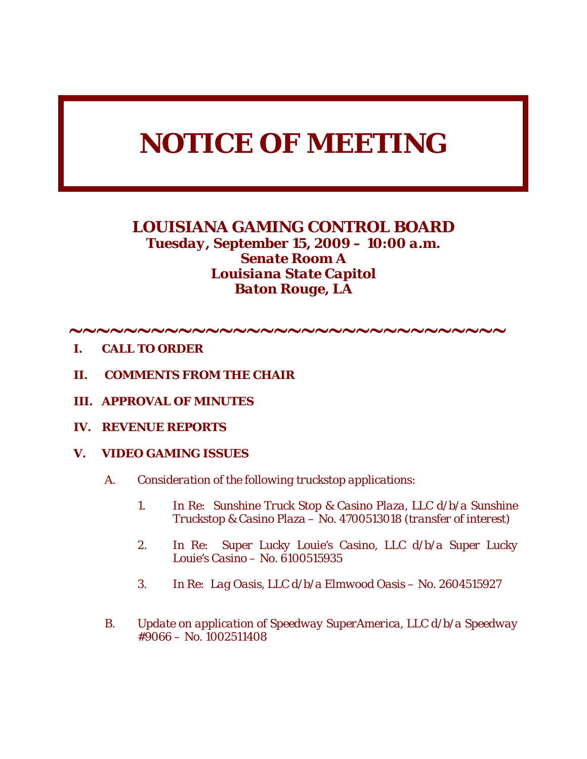# *NOTICE OF MEETING*

# *LOUISIANA GAMING CONTROL BOARD Tuesday, September 15, 2009 – 10:00 a.m. Senate Room A Louisiana State Capitol Baton Rouge, LA*

- ∼∼∼∼∼∼∼∼∼∼∼∼∼∼∼∼∼∼∼∼∼∼∼∼∼∼∼∼∼∼∼∼
- *I. CALL TO ORDER*
- *II. COMMENTS FROM THE CHAIR*
- *III. APPROVAL OF MINUTES*
- *IV. REVENUE REPORTS*
- *V. VIDEO GAMING ISSUES* 
	- *A. Consideration of the following truckstop applications:* 
		- *1. In Re: Sunshine Truck Stop & Casino Plaza, LLC d/b/a Sunshine Truckstop & Casino Plaza – No. 4700513018 (transfer of interest)*
		- *2. In Re: Super Lucky Louie's Casino, LLC d/b/a Super Lucky Louie's Casino – No. 6100515935*
		- *3. In Re: Lag Oasis, LLC d/b/a Elmwood Oasis No. 2604515927*
	- *B. Update on application of Speedway SuperAmerica, LLC d/b/a Speedway #9066 – No. 1002511408*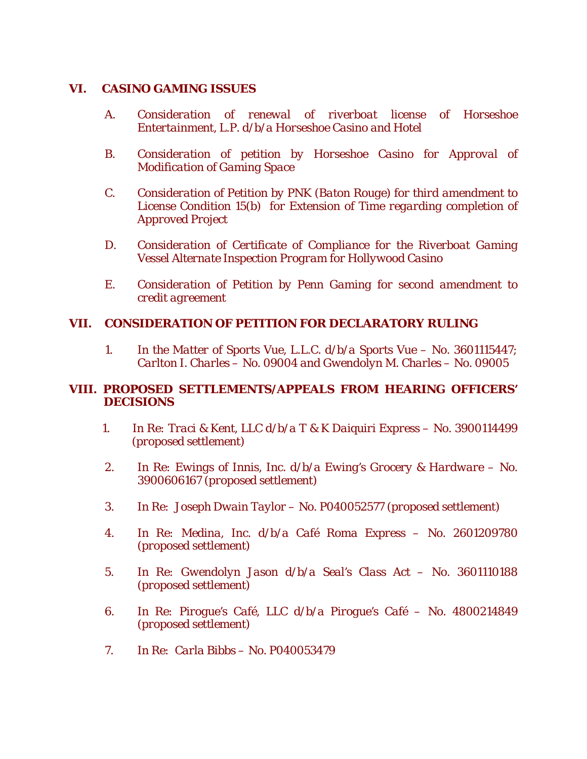#### *VI. CASINO GAMING ISSUES*

- *A. Consideration of renewal of riverboat license of Horseshoe Entertainment, L.P. d/b/a Horseshoe Casino and Hotel*
- *B. Consideration of petition by Horseshoe Casino for Approval of Modification of Gaming Space*
- *C. Consideration of Petition by PNK (Baton Rouge) for third amendment to License Condition 15(b) for Extension of Time regarding completion of Approved Project*
- *D. Consideration of Certificate of Compliance for the Riverboat Gaming Vessel Alternate Inspection Program for Hollywood Casino*
- *E. Consideration of Petition by Penn Gaming for second amendment to credit agreement*

## *VII. CONSIDERATION OF PETITION FOR DECLARATORY RULING*

*1. In the Matter of Sports Vue, L.L.C. d/b/a Sports Vue – No. 3601115447; Carlton I. Charles – No. 09004 and Gwendolyn M. Charles – No. 09005* 

#### *VIII. PROPOSED SETTLEMENTS/APPEALS FROM HEARING OFFICERS' DECISIONS*

- *1. In Re: Traci & Kent, LLC d/b/a T & K Daiquiri Express No. 3900114499 (proposed settlement)*
- *2. In Re: Ewings of Innis, Inc. d/b/a Ewing's Grocery & Hardware No. 3900606167 (proposed settlement)*
- *3. In Re: Joseph Dwain Taylor No. P040052577 (proposed settlement)*
- *4. In Re: Medina, Inc. d/b/a Café Roma Express No. 2601209780 (proposed settlement)*
- *5. In Re: Gwendolyn Jason d/b/a Seal's Class Act No. 3601110188 (proposed settlement)*
- *6. In Re: Pirogue's Café, LLC d/b/a Pirogue's Café No. 4800214849 (proposed settlement)*
- *7. In Re: Carla Bibbs No. P040053479*